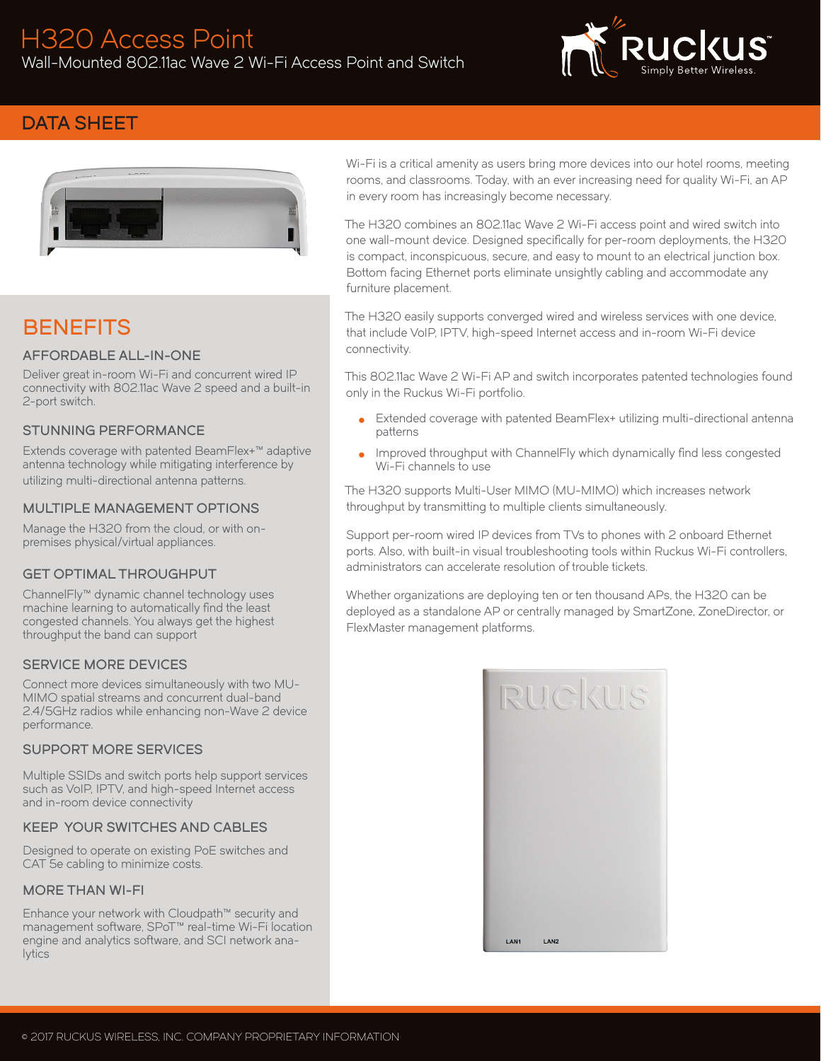# H320 Access Point

Wall-Mounted 802.11ac Wave 2 Wi-Fi Access Point and Switch



### DATA SHEET



# **BENEFITS**

#### AFFORDABLE ALL-IN-ONE

Deliver great in-room Wi-Fi and concurrent wired IP connectivity with 802.11ac Wave 2 speed and a built-in 2-port switch.

#### STUNNING PERFORMANCE

Extends coverage with patented BeamFlex+™ adaptive antenna technology while mitigating interference by utilizing multi-directional antenna patterns.

#### MULTIPLE MANAGEMENT OPTIONS

Manage the H320 from the cloud, or with onpremises physical/virtual appliances.

#### GET OPTIMAL THROUGHPUT

ChannelFly™ dynamic channel technology uses machine learning to automatically find the least congested channels. You always get the highest throughput the band can support

#### SERVICE MORE DEVICES

Connect more devices simultaneously with two MU-MIMO spatial streams and concurrent dual-band 2.4/5GHz radios while enhancing non-Wave 2 device performance.

#### SUPPORT MORE SERVICES

Multiple SSIDs and switch ports help support services such as VoIP, IPTV, and high-speed Internet access and in-room device connectivity

#### KEEP YOUR SWITCHES AND CABLES

Designed to operate on existing PoE switches and CAT 5e cabling to minimize costs.

#### MORE THAN WI-FI

Enhance your network with Cloudpath™ security and management software, SPoT™ real-time Wi-Fi location engine and analytics software, and SCI network ana**lytics** 

Wi-Fi is a critical amenity as users bring more devices into our hotel rooms, meeting rooms, and classrooms. Today, with an ever increasing need for quality Wi-Fi, an AP in every room has increasingly become necessary.

The H320 combines an 802.11ac Wave 2 Wi-Fi access point and wired switch into one wall-mount device. Designed specifically for per-room deployments, the H320 is compact, inconspicuous, secure, and easy to mount to an electrical junction box. Bottom facing Ethernet ports eliminate unsightly cabling and accommodate any furniture placement.

The H320 easily supports converged wired and wireless services with one device, that include VoIP, IPTV, high-speed Internet access and in-room Wi-Fi device connectivity.

This 802.11ac Wave 2 Wi-Fi AP and switch incorporates patented technologies found only in the Ruckus Wi-Fi portfolio.

- Extended coverage with patented BeamFlex+ utilizing multi-directional antenna patterns
- Improved throughput with ChannelFly which dynamically find less congested Wi-Fi channels to use

The H320 supports Multi-User MIMO (MU-MIMO) which increases network throughput by transmitting to multiple clients simultaneously.

Support per-room wired IP devices from TVs to phones with 2 onboard Ethernet ports. Also, with built-in visual troubleshooting tools within Ruckus Wi-Fi controllers, administrators can accelerate resolution of trouble tickets.

Whether organizations are deploying ten or ten thousand APs, the H320 can be deployed as a standalone AP or centrally managed by SmartZone, ZoneDirector, or FlexMaster management platforms.

|      | RUCKUS           |
|------|------------------|
|      |                  |
|      |                  |
|      |                  |
|      |                  |
| LAN1 | LAN <sub>2</sub> |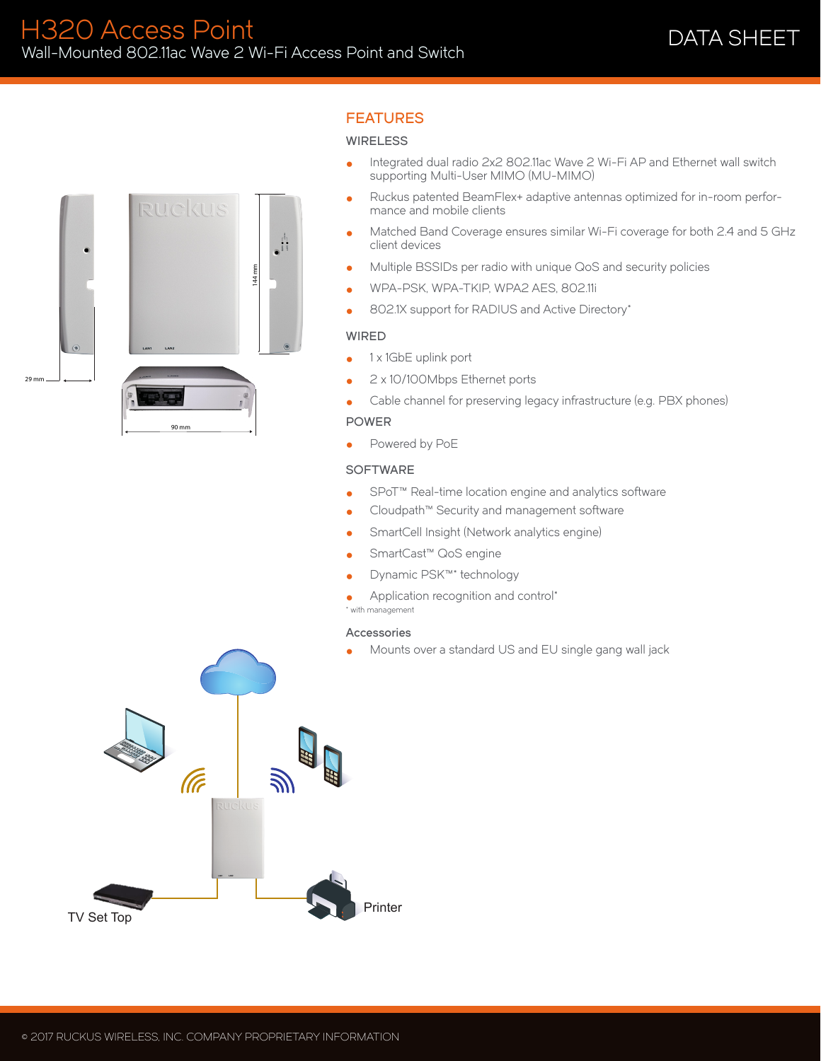

### FEATURES

#### **WIRELESS**

- Integrated dual radio 2x2 802.11ac Wave 2 Wi-Fi AP and Ethernet wall switch supporting Multi-User MIMO (MU-MIMO)
- Ruckus patented BeamFlex+ adaptive antennas optimized for in-room performance and mobile clients
- Matched Band Coverage ensures similar Wi-Fi coverage for both 2.4 and 5 GHz client devices
- Multiple BSSIDs per radio with unique QoS and security policies
- WPA-PSK, WPA-TKIP, WPA2 AES, 802.11i
- 802.1X support for RADIUS and Active Directory\*

#### **WIRED**

- $\bullet$  1 x 1GbE uplink port
- 2 x 10/100Mbps Ethernet ports
- Cable channel for preserving legacy infrastructure (e.g. PBX phones) POWER
- Powered by PoE

#### **SOFTWARE**

- SPoT<sup>™</sup> Real-time location engine and analytics software
- Cloudpath™ Security and management software
- **•** SmartCell Insight (Network analytics engine)
- SmartCast™ QoS engine
- Dynamic PSK™<sup>\*</sup> technology
- Application recognition and control\*
- \* with management

#### Accessories

Mounts over a standard US and EU single gang wall jack